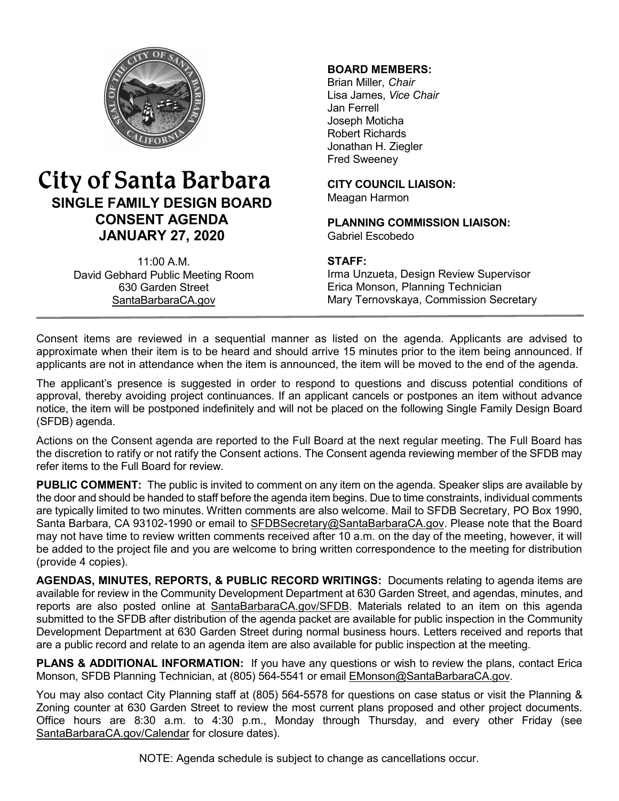

# City of Santa Barbara **SINGLE FAMILY DESIGN BOARD CONSENT AGENDA JANUARY 27, 2020**

11:00 A.M. David Gebhard Public Meeting Room 630 Garden Street [SantaBarbaraCA.gov](http://www.santabarbaraca.gov/)

### **BOARD MEMBERS:**

Brian Miller, *Chair* Lisa James, *Vice Chair* Jan Ferrell Joseph Moticha Robert Richards Jonathan H. Ziegler Fred Sweeney

**CITY COUNCIL LIAISON:** Meagan Harmon

**PLANNING COMMISSION LIAISON:** Gabriel Escobedo

#### **STAFF:**

Irma Unzueta, Design Review Supervisor Erica Monson, Planning Technician Mary Ternovskaya, Commission Secretary

Consent items are reviewed in a sequential manner as listed on the agenda. Applicants are advised to approximate when their item is to be heard and should arrive 15 minutes prior to the item being announced. If applicants are not in attendance when the item is announced, the item will be moved to the end of the agenda.

The applicant's presence is suggested in order to respond to questions and discuss potential conditions of approval, thereby avoiding project continuances. If an applicant cancels or postpones an item without advance notice, the item will be postponed indefinitely and will not be placed on the following Single Family Design Board (SFDB) agenda.

Actions on the Consent agenda are reported to the Full Board at the next regular meeting. The Full Board has the discretion to ratify or not ratify the Consent actions. The Consent agenda reviewing member of the SFDB may refer items to the Full Board for review.

**PUBLIC COMMENT:** The public is invited to comment on any item on the agenda. Speaker slips are available by the door and should be handed to staff before the agenda item begins. Due to time constraints, individual comments are typically limited to two minutes. Written comments are also welcome. Mail to SFDB Secretary, PO Box 1990, Santa Barbara, CA 93102-1990 or email to [SFDBSecretary@SantaBarbaraCA.gov](mailto:SFDBSecretary@SantaBarbaraCA.gov). Please note that the Board may not have time to review written comments received after 10 a.m. on the day of the meeting, however, it will be added to the project file and you are welcome to bring written correspondence to the meeting for distribution (provide 4 copies).

**AGENDAS, MINUTES, REPORTS, & PUBLIC RECORD WRITINGS:** Documents relating to agenda items are available for review in the Community Development Department at 630 Garden Street, and agendas, minutes, and reports are also posted online at [SantaBarbaraCA.gov/SFDB](http://www.santabarbaraca.gov/gov/brdcomm/nz/sfdb/agendas.asp). Materials related to an item on this agenda submitted to the SFDB after distribution of the agenda packet are available for public inspection in the Community Development Department at 630 Garden Street during normal business hours. Letters received and reports that are a public record and relate to an agenda item are also available for public inspection at the meeting.

**PLANS & ADDITIONAL INFORMATION:** If you have any questions or wish to review the plans, contact Erica Monson, SFDB Planning Technician, at (805) 564-5541 or email **EMonson@SantaBarbaraCA.gov.** 

You may also contact City Planning staff at (805) 564-5578 for questions on case status or visit the Planning & Zoning counter at 630 Garden Street to review the most current plans proposed and other project documents. Office hours are 8:30 a.m. to 4:30 p.m., Monday through Thursday, and every other Friday (see [SantaBarbaraCA.gov/Calendar](http://www.santabarbaraca.gov/cals/default.asp) for closure dates).

NOTE: Agenda schedule is subject to change as cancellations occur.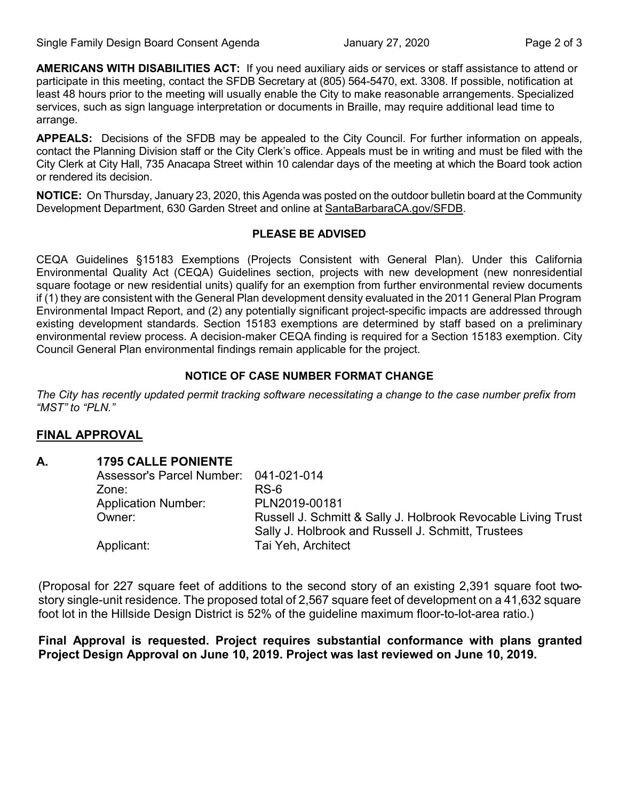**AMERICANS WITH DISABILITIES ACT:** If you need auxiliary aids or services or staff assistance to attend or participate in this meeting, contact the SFDB Secretary at (805) 564-5470, ext. 3308. If possible, notification at least 48 hours prior to the meeting will usually enable the City to make reasonable arrangements. Specialized services, such as sign language interpretation or documents in Braille, may require additional lead time to arrange.

**APPEALS:** Decisions of the SFDB may be appealed to the City Council. For further information on appeals, contact the Planning Division staff or the City Clerk's office. Appeals must be in writing and must be filed with the City Clerk at City Hall, 735 Anacapa Street within 10 calendar days of the meeting at which the Board took action or rendered its decision.

**NOTICE:** On Thursday, January 23, 2020, this Agenda was posted on the outdoor bulletin board at the Community Development Department, 630 Garden Street and online at [SantaBarbaraCA.gov/SFDB](http://www.santabarbaraca.gov/gov/brdcomm/nz/sfdb/agendas.asp).

#### **PLEASE BE ADVISED**

CEQA Guidelines §15183 Exemptions (Projects Consistent with General Plan). Under this California Environmental Quality Act (CEQA) Guidelines section, projects with new development (new nonresidential square footage or new residential units) qualify for an exemption from further environmental review documents if (1) they are consistent with the General Plan development density evaluated in the 2011 General Plan Program Environmental Impact Report, and (2) any potentially significant project-specific impacts are addressed through existing development standards. Section 15183 exemptions are determined by staff based on a preliminary environmental review process. A decision-maker CEQA finding is required for a Section 15183 exemption. City Council General Plan environmental findings remain applicable for the project.

#### **NOTICE OF CASE NUMBER FORMAT CHANGE**

*The City has recently updated permit tracking software necessitating a change to the case number prefix from "MST" to "PLN."*

# **FINAL APPROVAL**

# **A. 1795 CALLE PONIENTE**

| Assessor's Parcel Number: 041-021-014 |                                                               |
|---------------------------------------|---------------------------------------------------------------|
| Zone:                                 | RS-6                                                          |
| <b>Application Number:</b>            | PLN2019-00181                                                 |
| Owner:                                | Russell J. Schmitt & Sally J. Holbrook Revocable Living Trust |
|                                       | Sally J. Holbrook and Russell J. Schmitt, Trustees            |
| Applicant:                            | Tai Yeh, Architect                                            |

(Proposal for 227 square feet of additions to the second story of an existing 2,391 square foot twostory single-unit residence. The proposed total of 2,567 square feet of development on a 41,632 square foot lot in the Hillside Design District is 52% of the guideline maximum floor-to-lot-area ratio.)

**Final Approval is requested. Project requires substantial conformance with plans granted Project Design Approval on June 10, 2019. Project was last reviewed on June 10, 2019.**